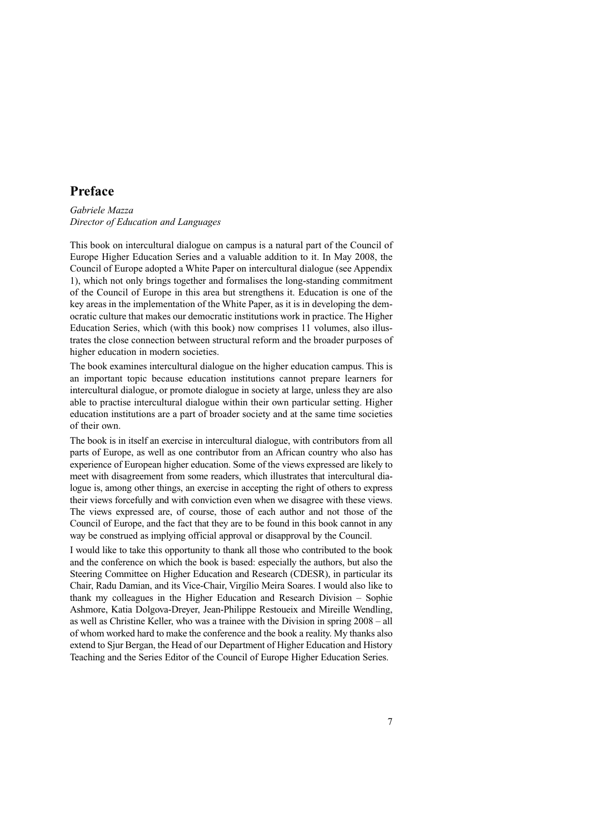# **Preface**

## *Gabriele Mazza Director of Education and Languages*

This book on intercultural dialogue on campus is a natural part of the Council of Europe Higher Education Series and a valuable addition to it. In May 2008, the Council of Europe adopted a White Paper on intercultural dialogue (see Appendix 1), which not only brings together and formalises the long-standing commitment of the Council of Europe in this area but strengthens it. Education is one of the key areas in the implementation of the White Paper, as it is in developing the democratic culture that makes our democratic institutions work in practice. The Higher Education Series, which (with this book) now comprises 11 volumes, also illustrates the close connection between structural reform and the broader purposes of higher education in modern societies.

The book examines intercultural dialogue on the higher education campus. This is an important topic because education institutions cannot prepare learners for intercultural dialogue, or promote dialogue in society at large, unless they are also able to practise intercultural dialogue within their own particular setting. Higher education institutions are a part of broader society and at the same time societies of their own.

The book is in itself an exercise in intercultural dialogue, with contributors from all parts of Europe, as well as one contributor from an African country who also has experience of European higher education. Some of the views expressed are likely to meet with disagreement from some readers, which illustrates that intercultural dialogue is, among other things, an exercise in accepting the right of others to express their views forcefully and with conviction even when we disagree with these views. The views expressed are, of course, those of each author and not those of the Council of Europe, and the fact that they are to be found in this book cannot in any way be construed as implying official approval or disapproval by the Council.

I would like to take this opportunity to thank all those who contributed to the book and the conference on which the book is based: especially the authors, but also the Steering Committee on Higher Education and Research (CDESR), in particular its Chair, Radu Damian, and its Vice-Chair, Virgílio Meira Soares. I would also like to thank my colleagues in the Higher Education and Research Division – Sophie Ashmore, Katia Dolgova-Dreyer, Jean-Philippe Restoueix and Mireille Wendling, as well as Christine Keller, who was a trainee with the Division in spring 2008 – all of whom worked hard to make the conference and the book a reality. My thanks also extend to Sjur Bergan, the Head of our Department of Higher Education and History Teaching and the Series Editor of the Council of Europe Higher Education Series.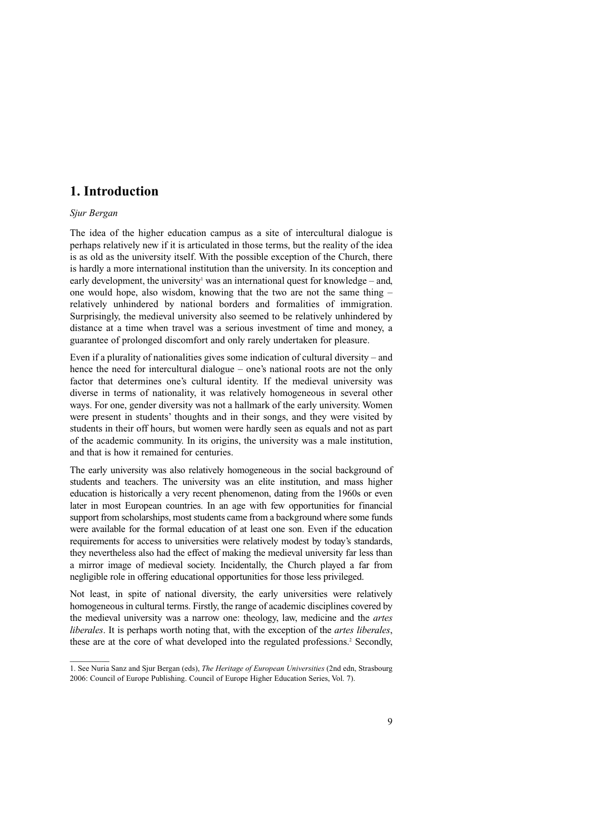## **1. Introduction**

### *Sjur Bergan*

The idea of the higher education campus as a site of intercultural dialogue is perhaps relatively new if it is articulated in those terms, but the reality of the idea is as old as the university itself. With the possible exception of the Church, there is hardly a more international institution than the university. In its conception and early development, the university<sup>1</sup> was an international quest for knowledge – and, one would hope, also wisdom, knowing that the two are not the same thing – relatively unhindered by national borders and formalities of immigration. Surprisingly, the medieval university also seemed to be relatively unhindered by distance at a time when travel was a serious investment of time and money, a guarantee of prolonged discomfort and only rarely undertaken for pleasure.

Even if a plurality of nationalities gives some indication of cultural diversity – and hence the need for intercultural dialogue – one's national roots are not the only factor that determines one's cultural identity. If the medieval university was diverse in terms of nationality, it was relatively homogeneous in several other ways. For one, gender diversity was not a hallmark of the early university. Women were present in students' thoughts and in their songs, and they were visited by students in their off hours, but women were hardly seen as equals and not as part of the academic community. In its origins, the university was a male institution, and that is how it remained for centuries.

The early university was also relatively homogeneous in the social background of students and teachers. The university was an elite institution, and mass higher education is historically a very recent phenomenon, dating from the 1960s or even later in most European countries. In an age with few opportunities for financial support from scholarships, most students came from a background where some funds were available for the formal education of at least one son. Even if the education requirements for access to universities were relatively modest by today's standards, they nevertheless also had the effect of making the medieval university far less than a mirror image of medieval society. Incidentally, the Church played a far from negligible role in offering educational opportunities for those less privileged.

Not least, in spite of national diversity, the early universities were relatively homogeneous in cultural terms. Firstly, the range of academic disciplines covered by the medieval university was a narrow one: theology, law, medicine and the *artes liberales*. It is perhaps worth noting that, with the exception of the *artes liberales*, these are at the core of what developed into the regulated professions.<sup>2</sup> Secondly,

<sup>1.</sup> See Nuria Sanz and Sjur Bergan (eds), *The Heritage of European Universities* (2nd edn, Strasbourg 2006: Council of Europe Publishing. Council of Europe Higher Education Series, Vol. 7).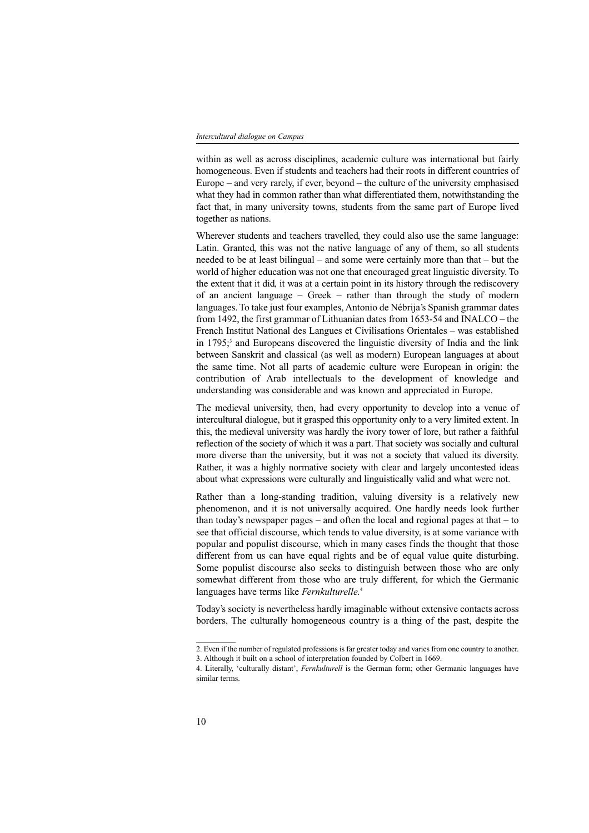#### *Intercultural dialogue on Campus*

within as well as across disciplines, academic culture was international but fairly homogeneous. Even if students and teachers had their roots in different countries of Europe – and very rarely, if ever, beyond – the culture of the university emphasised what they had in common rather than what differentiated them, notwithstanding the fact that, in many university towns, students from the same part of Europe lived together as nations.

Wherever students and teachers travelled, they could also use the same language: Latin. Granted, this was not the native language of any of them, so all students needed to be at least bilingual – and some were certainly more than that – but the world of higher education was not one that encouraged great linguistic diversity. To the extent that it did, it was at a certain point in its history through the rediscovery of an ancient language – Greek – rather than through the study of modern languages. To take just four examples, Antonio de Nébrija's Spanish grammar dates from 1492, the first grammar of Lithuanian dates from 1653-54 and INALCO – the French Institut National des Langues et Civilisations Orientales – was established in 1795;<sup>3</sup> and Europeans discovered the linguistic diversity of India and the link between Sanskrit and classical (as well as modern) European languages at about the same time. Not all parts of academic culture were European in origin: the contribution of Arab intellectuals to the development of knowledge and understanding was considerable and was known and appreciated in Europe.

The medieval university, then, had every opportunity to develop into a venue of intercultural dialogue, but it grasped this opportunity only to a very limited extent. In this, the medieval university was hardly the ivory tower of lore, but rather a faithful reflection of the society of which it was a part. That society was socially and cultural more diverse than the university, but it was not a society that valued its diversity. Rather, it was a highly normative society with clear and largely uncontested ideas about what expressions were culturally and linguistically valid and what were not.

Rather than a long-standing tradition, valuing diversity is a relatively new phenomenon, and it is not universally acquired. One hardly needs look further than today's newspaper pages – and often the local and regional pages at that – to see that official discourse, which tends to value diversity, is at some variance with popular and populist discourse, which in many cases finds the thought that those different from us can have equal rights and be of equal value quite disturbing. Some populist discourse also seeks to distinguish between those who are only somewhat different from those who are truly different, for which the Germanic languages have terms like *Fernkulturelle.* 4

Today's society is nevertheless hardly imaginable without extensive contacts across borders. The culturally homogeneous country is a thing of the past, despite the

<sup>2.</sup> Even if the number of regulated professions is far greater today and varies from one country to another. 3. Although it built on a school of interpretation founded by Colbert in 1669.

<sup>4.</sup> Literally, 'culturally distant', *Fernkulturell* is the German form; other Germanic languages have similar terms.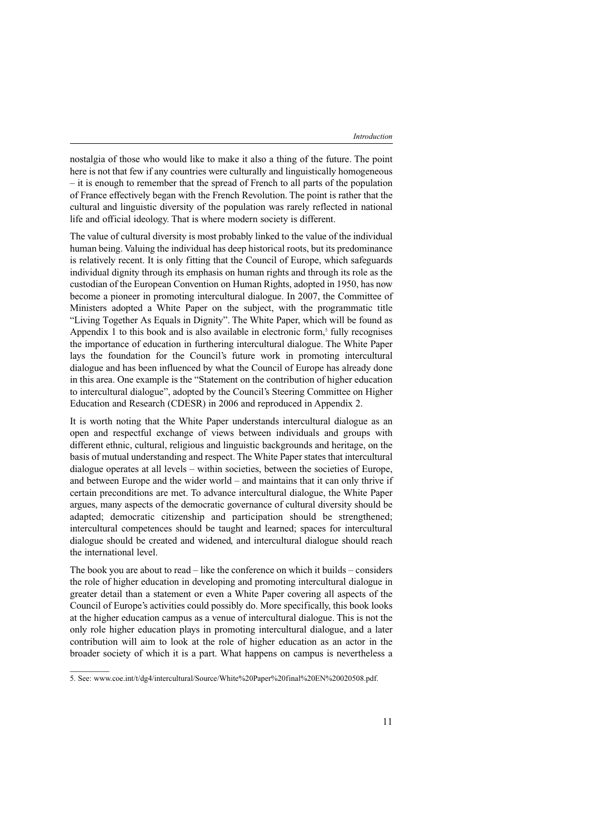nostalgia of those who would like to make it also a thing of the future. The point here is not that few if any countries were culturally and linguistically homogeneous – it is enough to remember that the spread of French to all parts of the population of France effectively began with the French Revolution. The point is rather that the cultural and linguistic diversity of the population was rarely reflected in national life and official ideology. That is where modern society is different.

The value of cultural diversity is most probably linked to the value of the individual human being. Valuing the individual has deep historical roots, but its predominance is relatively recent. It is only fitting that the Council of Europe, which safeguards individual dignity through its emphasis on human rights and through its role as the custodian of the European Convention on Human Rights, adopted in 1950, has now become a pioneer in promoting intercultural dialogue. In 2007, the Committee of Ministers adopted a White Paper on the subject, with the programmatic title "Living Together As Equals in Dignity". The White Paper, which will be found as Appendix  $1$  to this book and is also available in electronic form.<sup>5</sup> fully recognises the importance of education in furthering intercultural dialogue. The White Paper lays the foundation for the Council's future work in promoting intercultural dialogue and has been influenced by what the Council of Europe has already done in this area. One example is the "Statement on the contribution of higher education to intercultural dialogue", adopted by the Council's Steering Committee on Higher Education and Research (CDESR) in 2006 and reproduced in Appendix 2.

It is worth noting that the White Paper understands intercultural dialogue as an open and respectful exchange of views between individuals and groups with different ethnic, cultural, religious and linguistic backgrounds and heritage, on the basis of mutual understanding and respect. The White Paper states that intercultural dialogue operates at all levels – within societies, between the societies of Europe, and between Europe and the wider world – and maintains that it can only thrive if certain preconditions are met. To advance intercultural dialogue, the White Paper argues, many aspects of the democratic governance of cultural diversity should be adapted; democratic citizenship and participation should be strengthened; intercultural competences should be taught and learned; spaces for intercultural dialogue should be created and widened, and intercultural dialogue should reach the international level.

The book you are about to read – like the conference on which it builds – considers the role of higher education in developing and promoting intercultural dialogue in greater detail than a statement or even a White Paper covering all aspects of the Council of Europe's activities could possibly do. More specifically, this book looks at the higher education campus as a venue of intercultural dialogue. This is not the only role higher education plays in promoting intercultural dialogue, and a later contribution will aim to look at the role of higher education as an actor in the broader society of which it is a part. What happens on campus is nevertheless a

<sup>5.</sup> See: www.coe.int/t/dg4/intercultural/Source/White%20Paper%20final%20EN%20020508.pdf.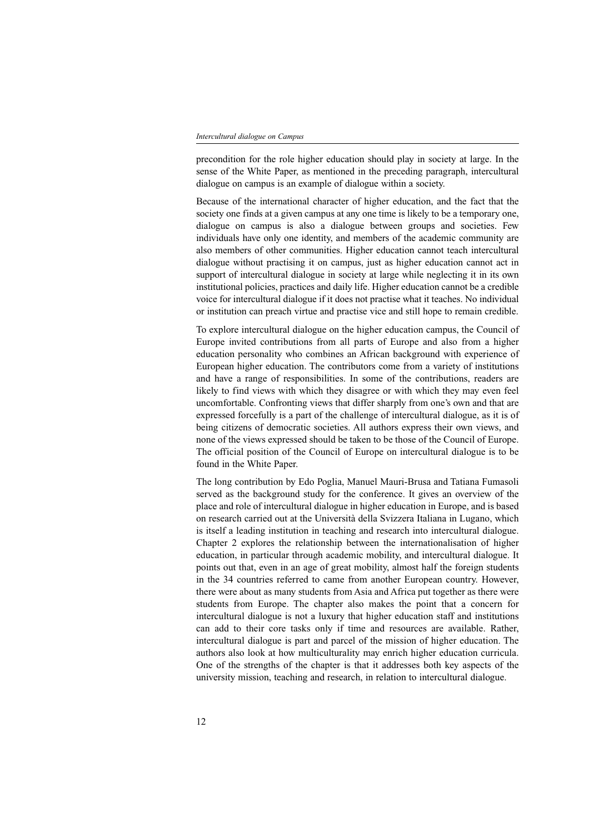#### *Intercultural dialogue on Campus*

precondition for the role higher education should play in society at large. In the sense of the White Paper, as mentioned in the preceding paragraph, intercultural dialogue on campus is an example of dialogue within a society.

Because of the international character of higher education, and the fact that the society one finds at a given campus at any one time is likely to be a temporary one, dialogue on campus is also a dialogue between groups and societies. Few individuals have only one identity, and members of the academic community are also members of other communities. Higher education cannot teach intercultural dialogue without practising it on campus, just as higher education cannot act in support of intercultural dialogue in society at large while neglecting it in its own institutional policies, practices and daily life. Higher education cannot be a credible voice for intercultural dialogue if it does not practise what it teaches. No individual or institution can preach virtue and practise vice and still hope to remain credible.

To explore intercultural dialogue on the higher education campus, the Council of Europe invited contributions from all parts of Europe and also from a higher education personality who combines an African background with experience of European higher education. The contributors come from a variety of institutions and have a range of responsibilities. In some of the contributions, readers are likely to find views with which they disagree or with which they may even feel uncomfortable. Confronting views that differ sharply from one's own and that are expressed forcefully is a part of the challenge of intercultural dialogue, as it is of being citizens of democratic societies. All authors express their own views, and none of the views expressed should be taken to be those of the Council of Europe. The official position of the Council of Europe on intercultural dialogue is to be found in the White Paper.

The long contribution by Edo Poglia, Manuel Mauri-Brusa and Tatiana Fumasoli served as the background study for the conference. It gives an overview of the place and role of intercultural dialogue in higher education in Europe, and is based on research carried out at the Università della Svizzera Italiana in Lugano, which is itself a leading institution in teaching and research into intercultural dialogue. Chapter 2 explores the relationship between the internationalisation of higher education, in particular through academic mobility, and intercultural dialogue. It points out that, even in an age of great mobility, almost half the foreign students in the 34 countries referred to came from another European country. However, there were about as many students from Asia and Africa put together as there were students from Europe. The chapter also makes the point that a concern for intercultural dialogue is not a luxury that higher education staff and institutions can add to their core tasks only if time and resources are available. Rather, intercultural dialogue is part and parcel of the mission of higher education. The authors also look at how multiculturality may enrich higher education curricula. One of the strengths of the chapter is that it addresses both key aspects of the university mission, teaching and research, in relation to intercultural dialogue.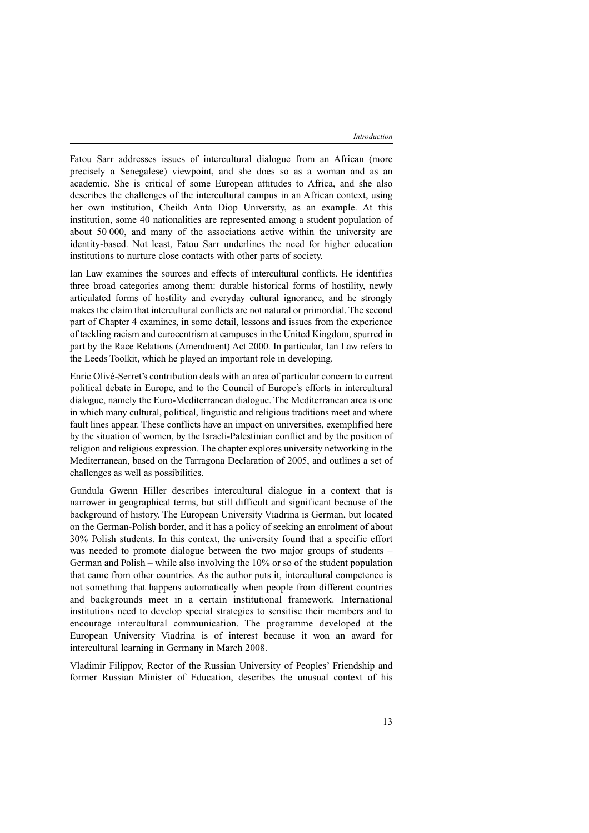Fatou Sarr addresses issues of intercultural dialogue from an African (more precisely a Senegalese) viewpoint, and she does so as a woman and as an academic. She is critical of some European attitudes to Africa, and she also describes the challenges of the intercultural campus in an African context, using her own institution, Cheikh Anta Diop University, as an example. At this institution, some 40 nationalities are represented among a student population of about 50 000, and many of the associations active within the university are identity-based. Not least, Fatou Sarr underlines the need for higher education institutions to nurture close contacts with other parts of society.

Ian Law examines the sources and effects of intercultural conflicts. He identifies three broad categories among them: durable historical forms of hostility, newly articulated forms of hostility and everyday cultural ignorance, and he strongly makes the claim that intercultural conflicts are not natural or primordial. The second part of Chapter 4 examines, in some detail, lessons and issues from the experience of tackling racism and eurocentrism at campuses in the United Kingdom, spurred in part by the Race Relations (Amendment) Act 2000. In particular, Ian Law refers to the Leeds Toolkit, which he played an important role in developing.

Enric Olivé-Serret's contribution deals with an area of particular concern to current political debate in Europe, and to the Council of Europe's efforts in intercultural dialogue, namely the Euro-Mediterranean dialogue. The Mediterranean area is one in which many cultural, political, linguistic and religious traditions meet and where fault lines appear. These conflicts have an impact on universities, exemplified here by the situation of women, by the Israeli-Palestinian conflict and by the position of religion and religious expression. The chapter explores university networking in the Mediterranean, based on the Tarragona Declaration of 2005, and outlines a set of challenges as well as possibilities.

Gundula Gwenn Hiller describes intercultural dialogue in a context that is narrower in geographical terms, but still difficult and significant because of the background of history. The European University Viadrina is German, but located on the German-Polish border, and it has a policy of seeking an enrolment of about 30% Polish students. In this context, the university found that a specific effort was needed to promote dialogue between the two major groups of students – German and Polish – while also involving the 10% or so of the student population that came from other countries. As the author puts it, intercultural competence is not something that happens automatically when people from different countries and backgrounds meet in a certain institutional framework. International institutions need to develop special strategies to sensitise their members and to encourage intercultural communication. The programme developed at the European University Viadrina is of interest because it won an award for intercultural learning in Germany in March 2008.

Vladimir Filippov, Rector of the Russian University of Peoples' Friendship and former Russian Minister of Education, describes the unusual context of his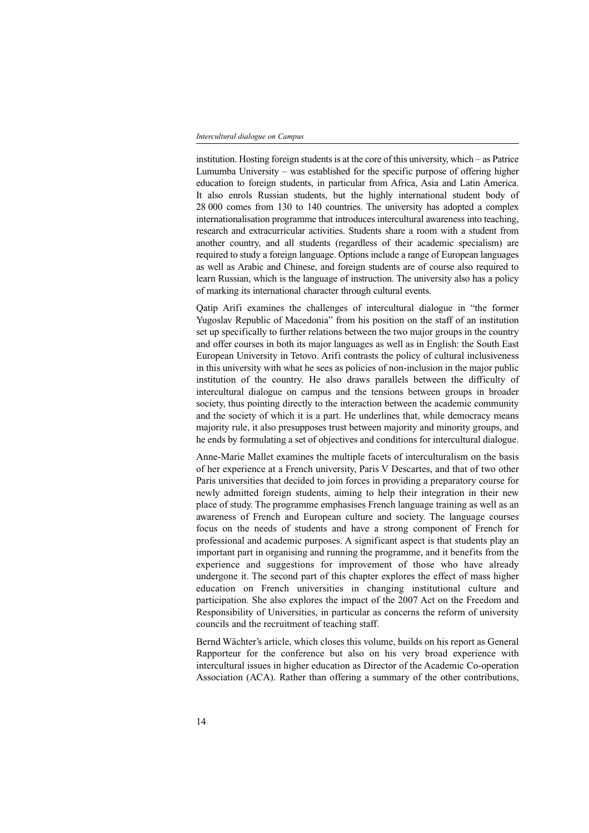### *Intercultural dialogue on Campus*

institution. Hosting foreign students is at the core of this university, which  $-$  as Patrice Lumumba University – was established for the specific purpose of offering higher education to foreign students, in particular from Africa, Asia and Latin America. It also enrols Russian students, but the highly international student body of 28 000 comes from 130 to 140 countries. The university has adopted a complex internationalisation programme that introduces intercultural awareness into teaching, research and extracurricular activities. Students share a room with a student from another country, and all students (regardless of their academic specialism) are required to study a foreign language. Options include a range of European languages as well as Arabic and Chinese, and foreign students are of course also required to learn Russian, which is the language of instruction. The university also has a policy of marking its international character through cultural events.

Qatip Arifi examines the challenges of intercultural dialogue in "the former Yugoslav Republic of Macedonia" from his position on the staff of an institution set up specifically to further relations between the two major groups in the country and offer courses in both its major languages as well as in English: the South East European University in Tetovo. Arifi contrasts the policy of cultural inclusiveness in this university with what he sees as policies of non-inclusion in the major public institution of the country. He also draws parallels between the difficulty of intercultural dialogue on campus and the tensions between groups in broader society, thus pointing directly to the interaction between the academic community and the society of which it is a part. He underlines that, while democracy means majority rule, it also presupposes trust between majority and minority groups, and he ends by formulating a set of objectives and conditions for intercultural dialogue.

Anne-Marie Mallet examines the multiple facets of interculturalism on the basis of her experience at a French university, Paris V Descartes, and that of two other Paris universities that decided to join forces in providing a preparatory course for newly admitted foreign students, aiming to help their integration in their new place of study. The programme emphasises French language training as well as an awareness of French and European culture and society. The language courses focus on the needs of students and have a strong component of French for professional and academic purposes. A significant aspect is that students play an important part in organising and running the programme, and it benefits from the experience and suggestions for improvement of those who have already undergone it. The second part of this chapter explores the effect of mass higher education on French universities in changing institutional culture and participation. She also explores the impact of the 2007 Act on the Freedom and Responsibility of Universities, in particular as concerns the reform of university councils and the recruitment of teaching staff.

Bernd Wächter's article, which closes this volume, builds on his report as General Rapporteur for the conference but also on his very broad experience with intercultural issues in higher education as Director of the Academic Co-operation Association (ACA). Rather than offering a summary of the other contributions,